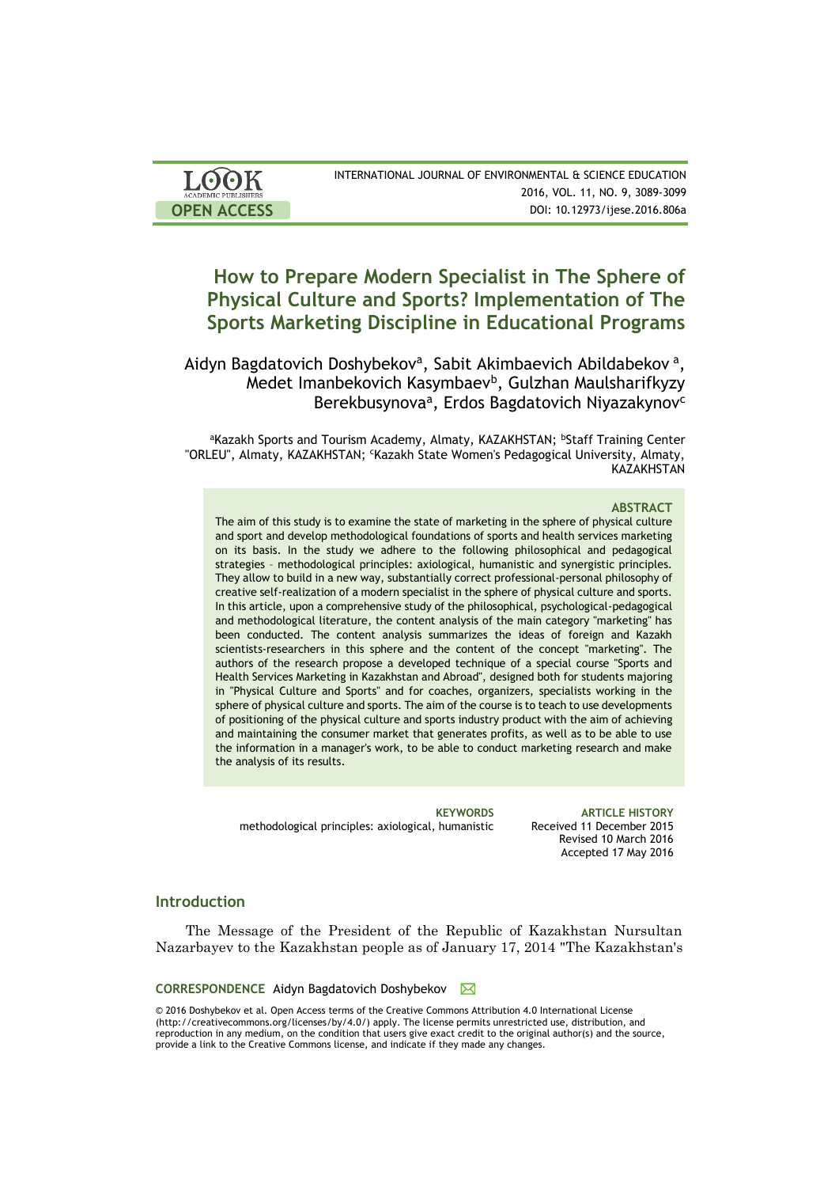| <b>LOOK</b>                | INTERNATIONAL JOURNAL OF ENVIRONMENTAL & SCIENCE EDUCATION |
|----------------------------|------------------------------------------------------------|
| <b>ACADEMIC PUBLISHERS</b> | 2016, VOL. 11, NO. 9, 3089-3099                            |
| <b>OPEN ACCESS</b>         | DOI: 10.12973/ijese.2016.806a                              |

# **How to Prepare Modern Specialist in The Sphere of Physical Culture and Sports? Implementation of The Sports Marketing Discipline in Educational Programs**

Aidyn Bagdatovich Doshybekov<sup>a</sup>, Sabit Akimbaevich Abildabekov<sup>a</sup>, Medet Imanbekovich Kasymbaev<sup>b</sup>, Gulzhan Maulsharifkyzy Berekbusynova<sup>a</sup>, Erdos Bagdatovich Niyazakynov<sup>c</sup>

aKazakh Sports and Tourism Academy, Almaty, KAZAKHSTAN; bStaff Training Center "ORLEU", Almaty, KAZAKHSTAN; 'Kazakh State Women's Pedagogical University, Almaty, **KAZAKHSTAN** 

#### **ABSTRACT**

The aim of this study is to examine the state of marketing in the sphere of physical culture and sport and develop methodological foundations of sports and health services marketing on its basis. In the study we adhere to the following philosophical and pedagogical strategies – methodological principles: axiological, humanistic and synergistic principles. They allow to build in a new way, substantially correct professional-personal philosophy of creative self-realization of a modern specialist in the sphere of physical culture and sports. In this article, upon a comprehensive study of the philosophical, psychological-pedagogical and methodological literature, the content analysis of the main category "marketing" has been conducted. The content analysis summarizes the ideas of foreign and Kazakh scientists-researchers in this sphere and the content of the concept "marketing". The authors of the research propose a developed technique of a special course "Sports and Health Services Marketing in Kazakhstan and Abroad", designed both for students majoring in "Physical Culture and Sports" and for coaches, organizers, specialists working in the sphere of physical culture and sports. The aim of the course is to teach to use developments of positioning of the physical culture and sports industry product with the aim of achieving and maintaining the consumer market that generates profits, as well as to be able to use the information in a manager's work, to be able to conduct marketing research and make the analysis of its results.

methodological principles: axiological, humanistic Received 11 December 2015

**KEYWORDS ARTICLE HISTORY** Revised 10 March 2016 Accepted 17 May 2016

# **Introduction**

The Message of the President of the Republic of Kazakhstan Nursultan Nazarbayev to the Kazakhstan people as of January 17, 2014 "The Kazakhstan's

#### **CORRESPONDENCE** Aidyn Bagdatovich Doshybekov  $\boxtimes$

© 2016 Doshybekov et al. Open Access terms of the Creative Commons Attribution 4.0 International License (http://creativecommons.org/licenses/by/4.0/) apply. The license permits unrestricted use, distribution, and reproduction in any medium, on the condition that users give exact credit to the original author(s) and the source, provide a link to the Creative Commons license, and indicate if they made any changes.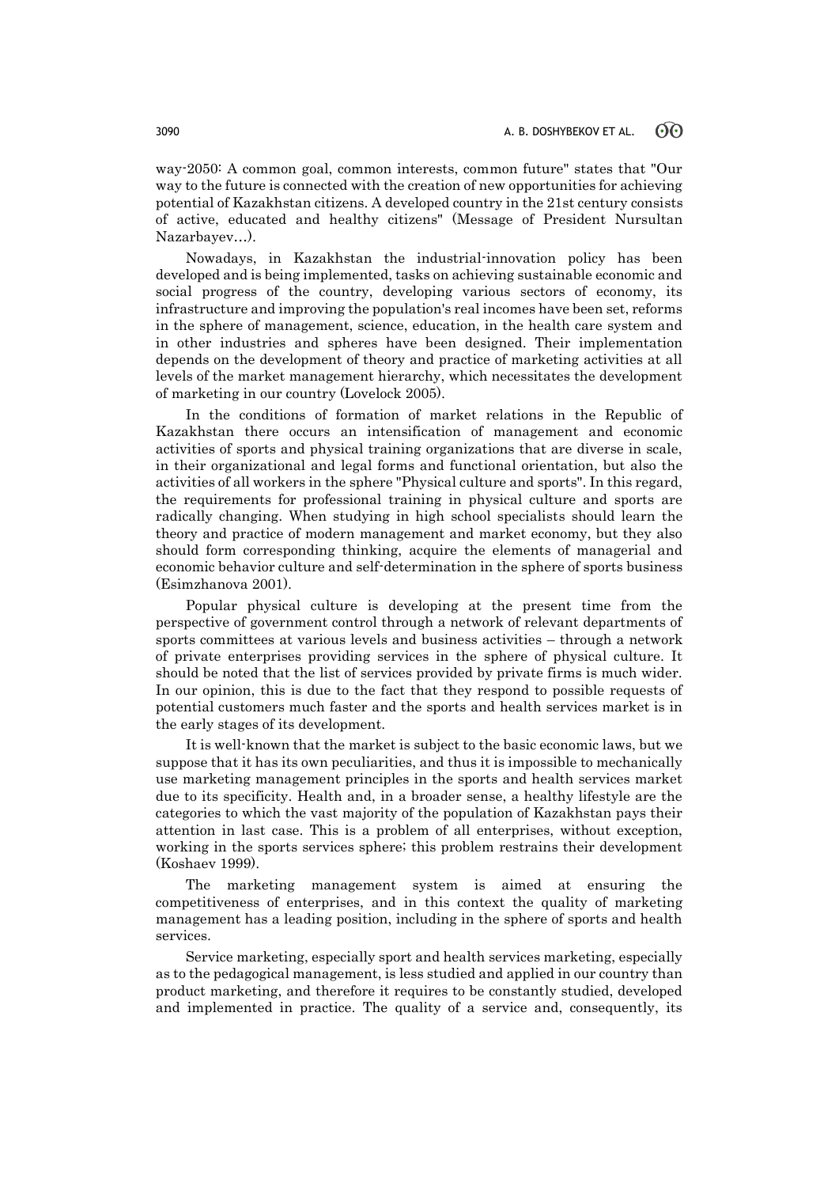way-2050: A common goal, common interests, common future" states that "Our way to the future is connected with the creation of new opportunities for achieving potential of Kazakhstan citizens. A developed country in the 21st century consists of active, educated and healthy citizens" (Message of President Nursultan Nazarbayev…).

Nowadays, in Kazakhstan the industrial-innovation policy has been developed and is being implemented, tasks on achieving sustainable economic and social progress of the country, developing various sectors of economy, its infrastructure and improving the population's real incomes have been set, reforms in the sphere of management, science, education, in the health care system and in other industries and spheres have been designed. Their implementation depends on the development of theory and practice of marketing activities at all levels of the market management hierarchy, which necessitates the development of marketing in our country (Lovelock 2005).

In the conditions of formation of market relations in the Republic of Kazakhstan there occurs an intensification of management and economic activities of sports and physical training organizations that are diverse in scale, in their organizational and legal forms and functional orientation, but also the activities of all workers in the sphere "Physical culture and sports". In this regard, the requirements for professional training in physical culture and sports are radically changing. When studying in high school specialists should learn the theory and practice of modern management and market economy, but they also should form corresponding thinking, acquire the elements of managerial and economic behavior culture and self-determination in the sphere of sports business (Esimzhanova 2001).

Popular physical culture is developing at the present time from the perspective of government control through a network of relevant departments of sports committees at various levels and business activities – through a network of private enterprises providing services in the sphere of physical culture. It should be noted that the list of services provided by private firms is much wider. In our opinion, this is due to the fact that they respond to possible requests of potential customers much faster and the sports and health services market is in the early stages of its development.

It is well-known that the market is subject to the basic economic laws, but we suppose that it has its own peculiarities, and thus it is impossible to mechanically use marketing management principles in the sports and health services market due to its specificity. Health and, in a broader sense, a healthy lifestyle are the categories to which the vast majority of the population of Kazakhstan pays their attention in last case. This is a problem of all enterprises, without exception, working in the sports services sphere; this problem restrains their development (Koshaev 1999).

The marketing management system is aimed at ensuring the competitiveness of enterprises, and in this context the quality of marketing management has a leading position, including in the sphere of sports and health services.

Service marketing, especially sport and health services marketing, especially as to the pedagogical management, is less studied and applied in our country than product marketing, and therefore it requires to be constantly studied, developed and implemented in practice. The quality of a service and, consequently, its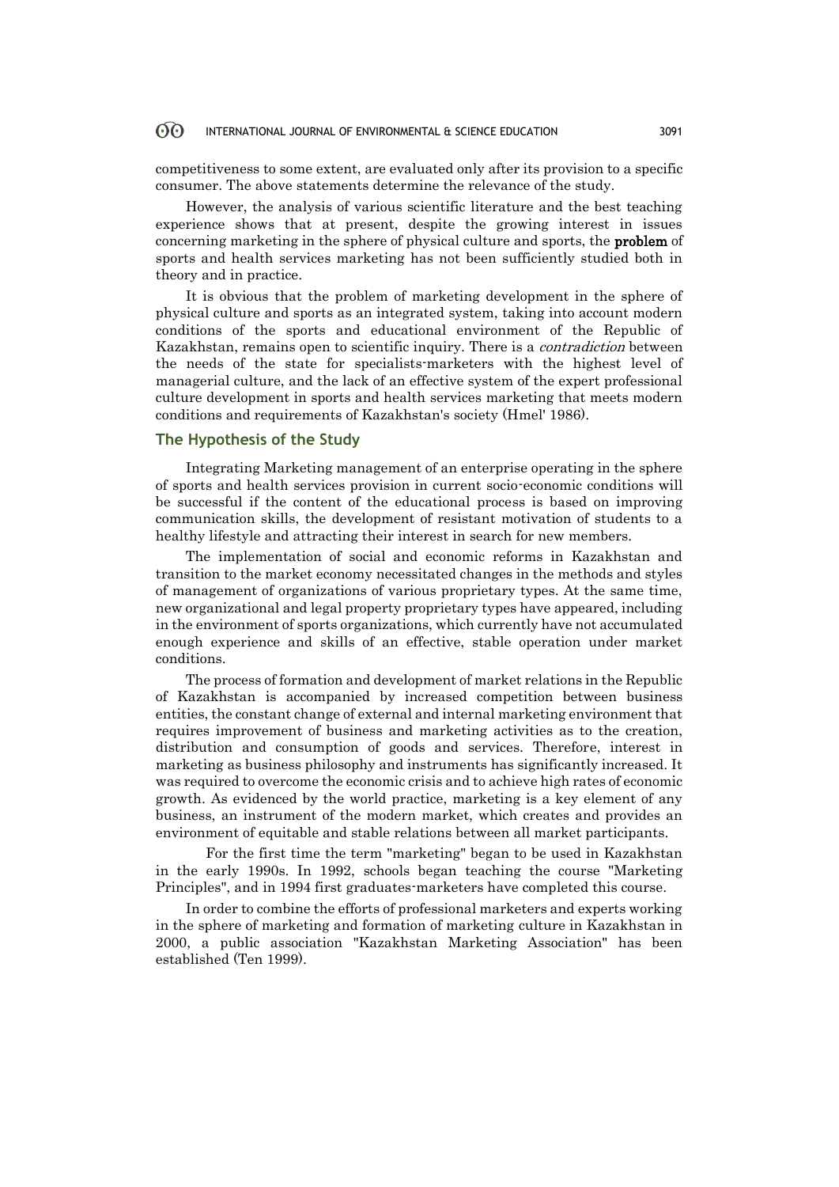#### 60 INTERNATIONAL JOURNAL OF ENVIRONMENTAL & SCIENCE EDUCATION 3091

competitiveness to some extent, are evaluated only after its provision to a specific consumer. The above statements determine the relevance of the study.

However, the analysis of various scientific literature and the best teaching experience shows that at present, despite the growing interest in issues concerning marketing in the sphere of physical culture and sports, the problem of sports and health services marketing has not been sufficiently studied both in theory and in practice.

It is obvious that the problem of marketing development in the sphere of physical culture and sports as an integrated system, taking into account modern conditions of the sports and educational environment of the Republic of Kazakhstan, remains open to scientific inquiry. There is a contradiction between the needs of the state for specialists-marketers with the highest level of managerial culture, and the lack of an effective system of the expert professional culture development in sports and health services marketing that meets modern conditions and requirements of Kazakhstan's society (Hmel' 1986).

# **The Hypothesis of the Study**

Integrating Marketing management of an enterprise operating in the sphere of sports and health services provision in current socio-economic conditions will be successful if the content of the educational process is based on improving communication skills, the development of resistant motivation of students to a healthy lifestyle and attracting their interest in search for new members.

The implementation of social and economic reforms in Kazakhstan and transition to the market economy necessitated changes in the methods and styles of management of organizations of various proprietary types. At the same time, new organizational and legal property proprietary types have appeared, including in the environment of sports organizations, which currently have not accumulated enough experience and skills of an effective, stable operation under market conditions.

The process of formation and development of market relations in the Republic of Kazakhstan is accompanied by increased competition between business entities, the constant change of external and internal marketing environment that requires improvement of business and marketing activities as to the creation, distribution and consumption of goods and services. Therefore, interest in marketing as business philosophy and instruments has significantly increased. It was required to overcome the economic crisis and to achieve high rates of economic growth. As evidenced by the world practice, marketing is a key element of any business, an instrument of the modern market, which creates and provides an environment of equitable and stable relations between all market participants.

For the first time the term "marketing" began to be used in Kazakhstan in the early 1990s. In 1992, schools began teaching the course "Marketing Principles", and in 1994 first graduates-marketers have completed this course.

In order to combine the efforts of professional marketers and experts working in the sphere of marketing and formation of marketing culture in Kazakhstan in 2000, a public association "Kazakhstan Marketing Association" has been established (Ten 1999).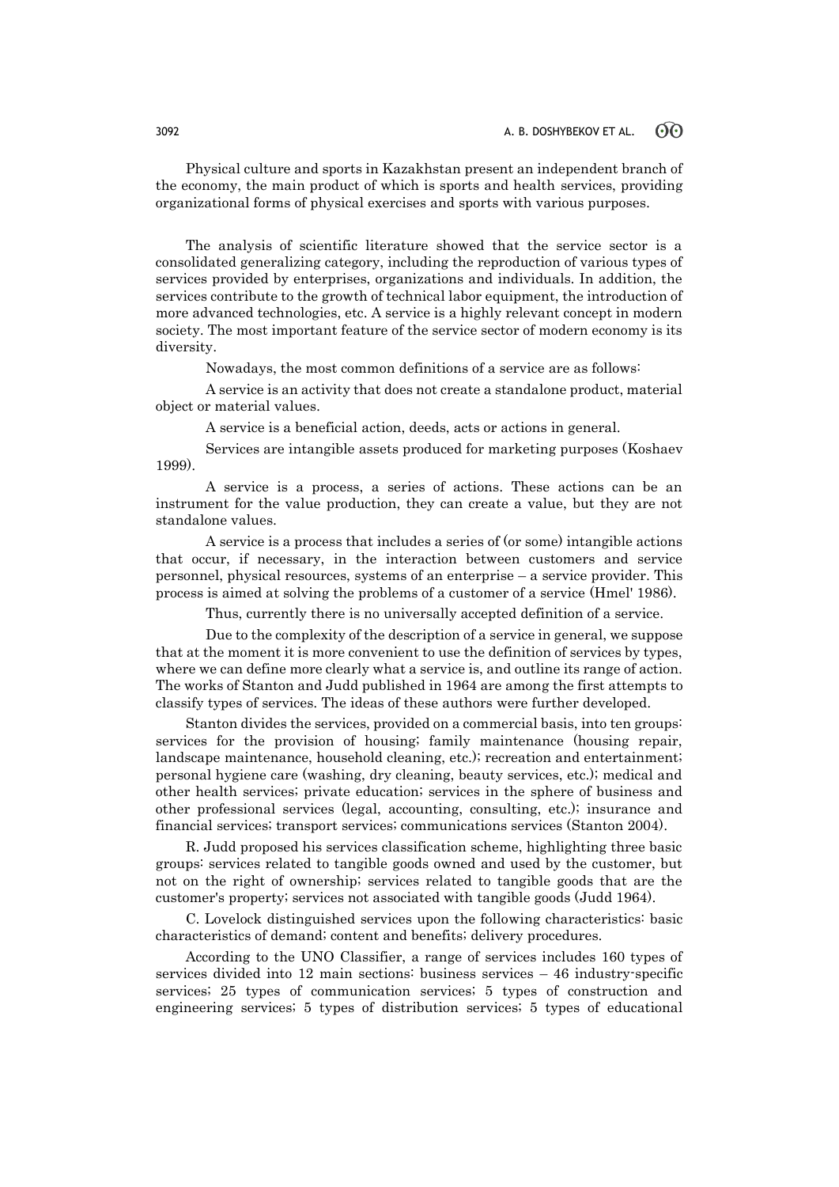Physical culture and sports in Kazakhstan present an independent branch of the economy, the main product of which is sports and health services, providing organizational forms of physical exercises and sports with various purposes.

The analysis of scientific literature showed that the service sector is a consolidated generalizing category, including the reproduction of various types of services provided by enterprises, organizations and individuals. In addition, the services contribute to the growth of technical labor equipment, the introduction of more advanced technologies, etc. A service is a highly relevant concept in modern society. The most important feature of the service sector of modern economy is its diversity.

Nowadays, the most common definitions of a service are as follows:

A service is an activity that does not create a standalone product, material object or material values.

A service is a beneficial action, deeds, acts or actions in general.

Services are intangible assets produced for marketing purposes (Koshaev 1999).

A service is a process, a series of actions. These actions can be an instrument for the value production, they can create a value, but they are not standalone values.

A service is a process that includes a series of (or some) intangible actions that occur, if necessary, in the interaction between customers and service personnel, physical resources, systems of an enterprise – a service provider. This process is aimed at solving the problems of a customer of a service (Hmel' 1986).

Thus, currently there is no universally accepted definition of a service.

Due to the complexity of the description of a service in general, we suppose that at the moment it is more convenient to use the definition of services by types, where we can define more clearly what a service is, and outline its range of action. The works of Stanton and Judd published in 1964 are among the first attempts to classify types of services. The ideas of these authors were further developed.

Stanton divides the services, provided on a commercial basis, into ten groups: services for the provision of housing; family maintenance (housing repair, landscape maintenance, household cleaning, etc.); recreation and entertainment; personal hygiene care (washing, dry cleaning, beauty services, etc.); medical and other health services; private education; services in the sphere of business and other professional services (legal, accounting, consulting, etc.); insurance and financial services; transport services; communications services (Stanton 2004).

R. Judd proposed his services classification scheme, highlighting three basic groups: services related to tangible goods owned and used by the customer, but not on the right of ownership; services related to tangible goods that are the customer's property; services not associated with tangible goods (Judd 1964).

C. Lovelock distinguished services upon the following characteristics: basic characteristics of demand; content and benefits; delivery procedures.

According to the UNO Classifier, a range of services includes 160 types of services divided into 12 main sections: business services – 46 industry-specific services; 25 types of communication services; 5 types of construction and engineering services; 5 types of distribution services; 5 types of educational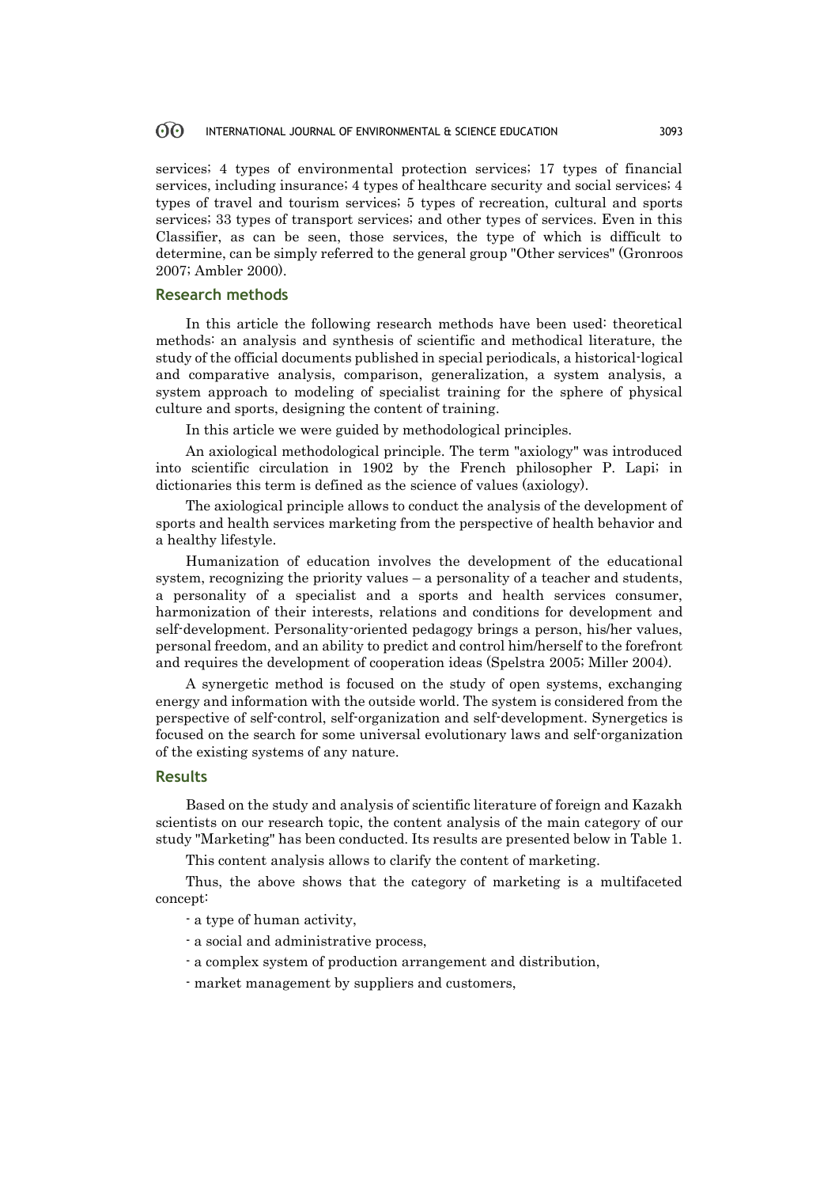#### 60 INTERNATIONAL JOURNAL OF ENVIRONMENTAL & SCIENCE EDUCATION 3093

services; 4 types of environmental protection services; 17 types of financial services, including insurance; 4 types of healthcare security and social services; 4 types of travel and tourism services; 5 types of recreation, cultural and sports services; 33 types of transport services; and other types of services. Even in this Classifier, as can be seen, those services, the type of which is difficult to determine, can be simply referred to the general group "Other services" (Gronroos 2007; Ambler 2000).

### **Research methods**

In this article the following research methods have been used: theoretical methods: an analysis and synthesis of scientific and methodical literature, the study of the official documents published in special periodicals, a historical-logical and comparative analysis, comparison, generalization, a system analysis, a system approach to modeling of specialist training for the sphere of physical culture and sports, designing the content of training.

In this article we were guided by methodological principles.

An axiological methodological principle. The term "axiology" was introduced into scientific circulation in 1902 by the French philosopher P. Lapi; in dictionaries this term is defined as the science of values (axiology).

The axiological principle allows to conduct the analysis of the development of sports and health services marketing from the perspective of health behavior and a healthy lifestyle.

Humanization of education involves the development of the educational system, recognizing the priority values – a personality of a teacher and students, a personality of a specialist and a sports and health services consumer, harmonization of their interests, relations and conditions for development and self-development. Personality-oriented pedagogy brings a person, his/her values, personal freedom, and an ability to predict and control him/herself to the forefront and requires the development of cooperation ideas (Spelstra 2005; Miller 2004).

A synergetic method is focused on the study of open systems, exchanging energy and information with the outside world. The system is considered from the perspective of self-control, self-organization and self-development. Synergetics is focused on the search for some universal evolutionary laws and self-organization of the existing systems of any nature.

## **Results**

Based on the study and analysis of scientific literature of foreign and Kazakh scientists on our research topic, the content analysis of the main category of our study "Marketing" has been conducted. Its results are presented below in Table 1.

This content analysis allows to clarify the content of marketing.

Thus, the above shows that the category of marketing is a multifaceted concept:

- a type of human activity,

- a social and administrative process,
- a complex system of production arrangement and distribution,
- market management by suppliers and customers,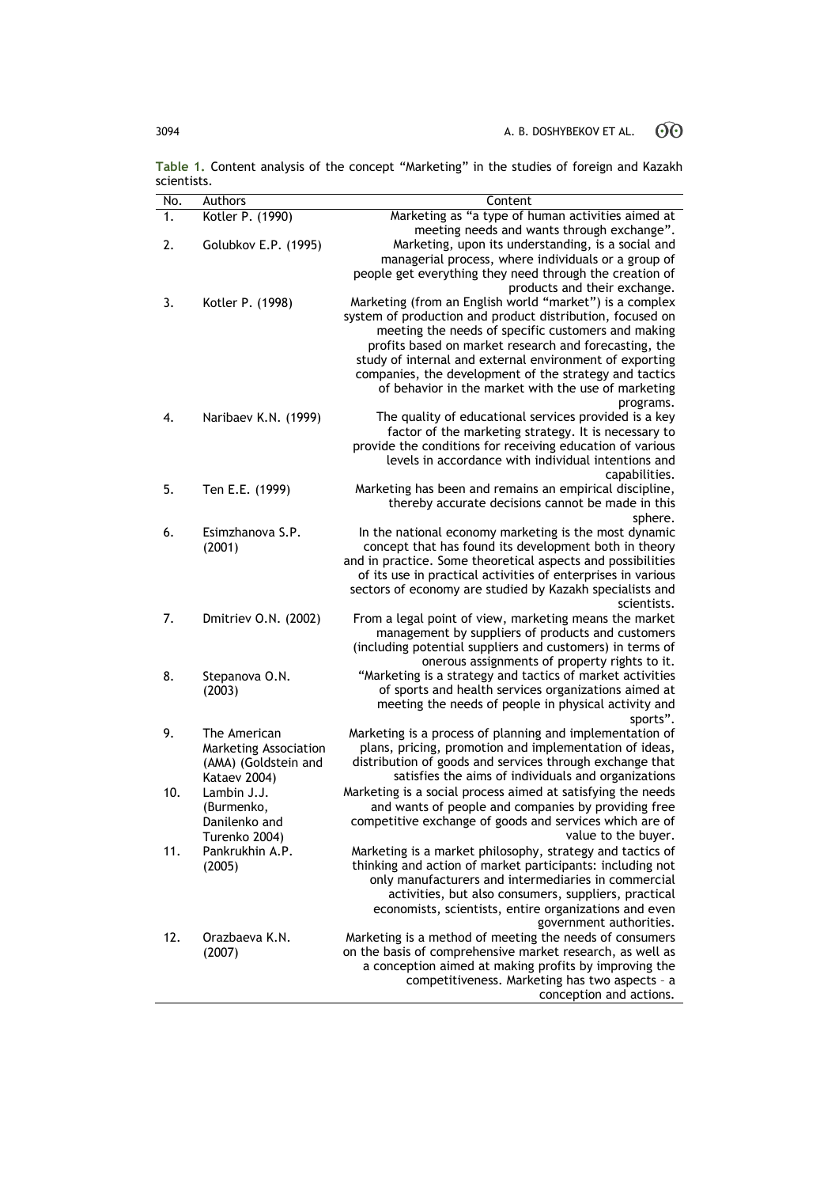**Table 1.** Content analysis of the concept "Marketing" in the studies of foreign and Kazakh scientists.  $\overline{\phantom{a}}$ 

| No.           | Authors                          | Content                                                                                                                |  |  |
|---------------|----------------------------------|------------------------------------------------------------------------------------------------------------------------|--|--|
| $\mathbf 1$ . | Kotler P. (1990)                 | Marketing as "a type of human activities aimed at                                                                      |  |  |
|               |                                  | meeting needs and wants through exchange".                                                                             |  |  |
| 2.            | Golubkov E.P. (1995)             | Marketing, upon its understanding, is a social and                                                                     |  |  |
|               |                                  | managerial process, where individuals or a group of                                                                    |  |  |
|               |                                  | people get everything they need through the creation of<br>products and their exchange.                                |  |  |
| 3.            | Kotler P. (1998)                 | Marketing (from an English world "market") is a complex                                                                |  |  |
|               |                                  | system of production and product distribution, focused on                                                              |  |  |
|               |                                  | meeting the needs of specific customers and making                                                                     |  |  |
|               |                                  | profits based on market research and forecasting, the                                                                  |  |  |
|               |                                  | study of internal and external environment of exporting                                                                |  |  |
|               |                                  | companies, the development of the strategy and tactics                                                                 |  |  |
|               |                                  | of behavior in the market with the use of marketing<br>programs.                                                       |  |  |
| 4.            | Naribaev K.N. (1999)             | The quality of educational services provided is a key                                                                  |  |  |
|               |                                  | factor of the marketing strategy. It is necessary to                                                                   |  |  |
|               |                                  | provide the conditions for receiving education of various                                                              |  |  |
|               |                                  | levels in accordance with individual intentions and                                                                    |  |  |
|               |                                  | capabilities.                                                                                                          |  |  |
| 5.            | Ten E.E. (1999)                  | Marketing has been and remains an empirical discipline,                                                                |  |  |
|               |                                  | thereby accurate decisions cannot be made in this<br>sphere.                                                           |  |  |
| 6.            | Esimzhanova S.P.                 | In the national economy marketing is the most dynamic                                                                  |  |  |
|               | (2001)                           | concept that has found its development both in theory                                                                  |  |  |
|               |                                  | and in practice. Some theoretical aspects and possibilities                                                            |  |  |
|               |                                  | of its use in practical activities of enterprises in various                                                           |  |  |
|               |                                  | sectors of economy are studied by Kazakh specialists and                                                               |  |  |
| 7.            |                                  | scientists.                                                                                                            |  |  |
|               | Dmitriev O.N. (2002)             | From a legal point of view, marketing means the market<br>management by suppliers of products and customers            |  |  |
|               |                                  | (including potential suppliers and customers) in terms of                                                              |  |  |
|               |                                  | onerous assignments of property rights to it.                                                                          |  |  |
| 8.            | Stepanova O.N.                   | "Marketing is a strategy and tactics of market activities                                                              |  |  |
|               | (2003)                           | of sports and health services organizations aimed at                                                                   |  |  |
|               |                                  | meeting the needs of people in physical activity and                                                                   |  |  |
| 9.            | The American                     | sports".<br>Marketing is a process of planning and implementation of                                                   |  |  |
|               | Marketing Association            | plans, pricing, promotion and implementation of ideas,                                                                 |  |  |
|               | (AMA) (Goldstein and             | distribution of goods and services through exchange that                                                               |  |  |
|               | Kataev 2004)                     | satisfies the aims of individuals and organizations                                                                    |  |  |
| 10.           | Lambin J.J.                      | Marketing is a social process aimed at satisfying the needs                                                            |  |  |
|               | (Burmenko,                       | and wants of people and companies by providing free                                                                    |  |  |
|               | Danilenko and                    | competitive exchange of goods and services which are of                                                                |  |  |
|               | Turenko 2004)<br>Pankrukhin A.P. | value to the buyer.                                                                                                    |  |  |
| 11.           | (2005)                           | Marketing is a market philosophy, strategy and tactics of<br>thinking and action of market participants: including not |  |  |
|               |                                  | only manufacturers and intermediaries in commercial                                                                    |  |  |
|               |                                  | activities, but also consumers, suppliers, practical                                                                   |  |  |
|               |                                  | economists, scientists, entire organizations and even                                                                  |  |  |
|               |                                  | government authorities.                                                                                                |  |  |
| 12.           | Orazbaeva K.N.                   | Marketing is a method of meeting the needs of consumers                                                                |  |  |
|               | (2007)                           | on the basis of comprehensive market research, as well as<br>a conception aimed at making profits by improving the     |  |  |
|               |                                  | competitiveness. Marketing has two aspects - a                                                                         |  |  |
|               |                                  | conception and actions.                                                                                                |  |  |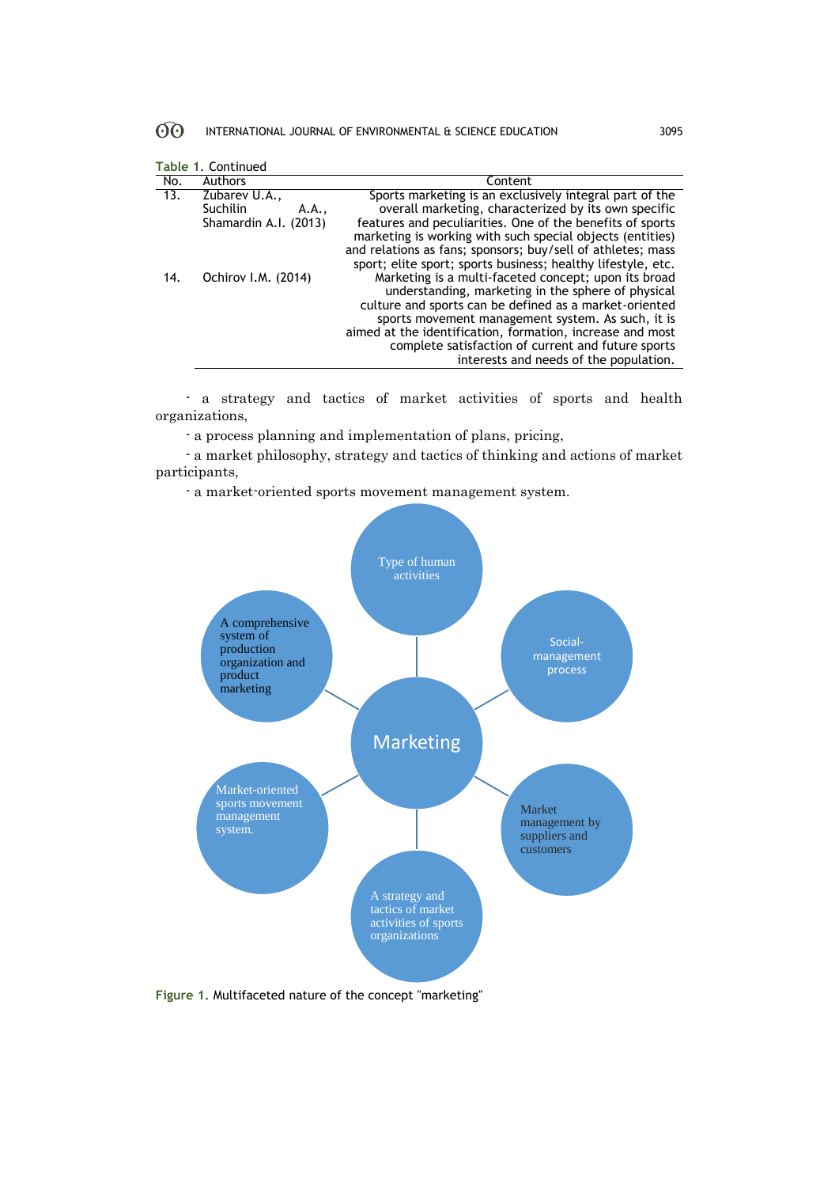#### $60^{\circ}$ INTERNATIONAL JOURNAL OF ENVIRONMENTAL & SCIENCE EDUCATION 3095

|                            | Table 1. Continued                                                 |                                                                                                                                                                                                                           |  |  |  |
|----------------------------|--------------------------------------------------------------------|---------------------------------------------------------------------------------------------------------------------------------------------------------------------------------------------------------------------------|--|--|--|
| No.                        | <b>Authors</b>                                                     | Content                                                                                                                                                                                                                   |  |  |  |
| $\overline{13}$ .          | Zubarev U.A.,<br><b>Suchilin</b><br>A.A.,<br>Shamardin A.I. (2013) | Sports marketing is an exclusively integral part of the<br>overall marketing, characterized by its own specific<br>features and peculiarities. One of the benefits of sports                                              |  |  |  |
|                            |                                                                    | marketing is working with such special objects (entities)<br>and relations as fans; sponsors; buy/sell of athletes; mass<br>sport; elite sport; sports business; healthy lifestyle, etc.                                  |  |  |  |
| Ochirov I.M. (2014)<br>14. |                                                                    | Marketing is a multi-faceted concept; upon its broad<br>understanding, marketing in the sphere of physical<br>culture and sports can be defined as a market-oriented<br>sports movement management system. As such, it is |  |  |  |
|                            |                                                                    | aimed at the identification, formation, increase and most<br>complete satisfaction of current and future sports<br>interests and needs of the population.                                                                 |  |  |  |

- a strategy and tactics of market activities of sports and health organizations,

- a process planning and implementation of plans, pricing,

- a market philosophy, strategy and tactics of thinking and actions of market participants,

- a market-oriented sports movement management system.



**Figure 1.** Multifaceted nature of the concept "marketing"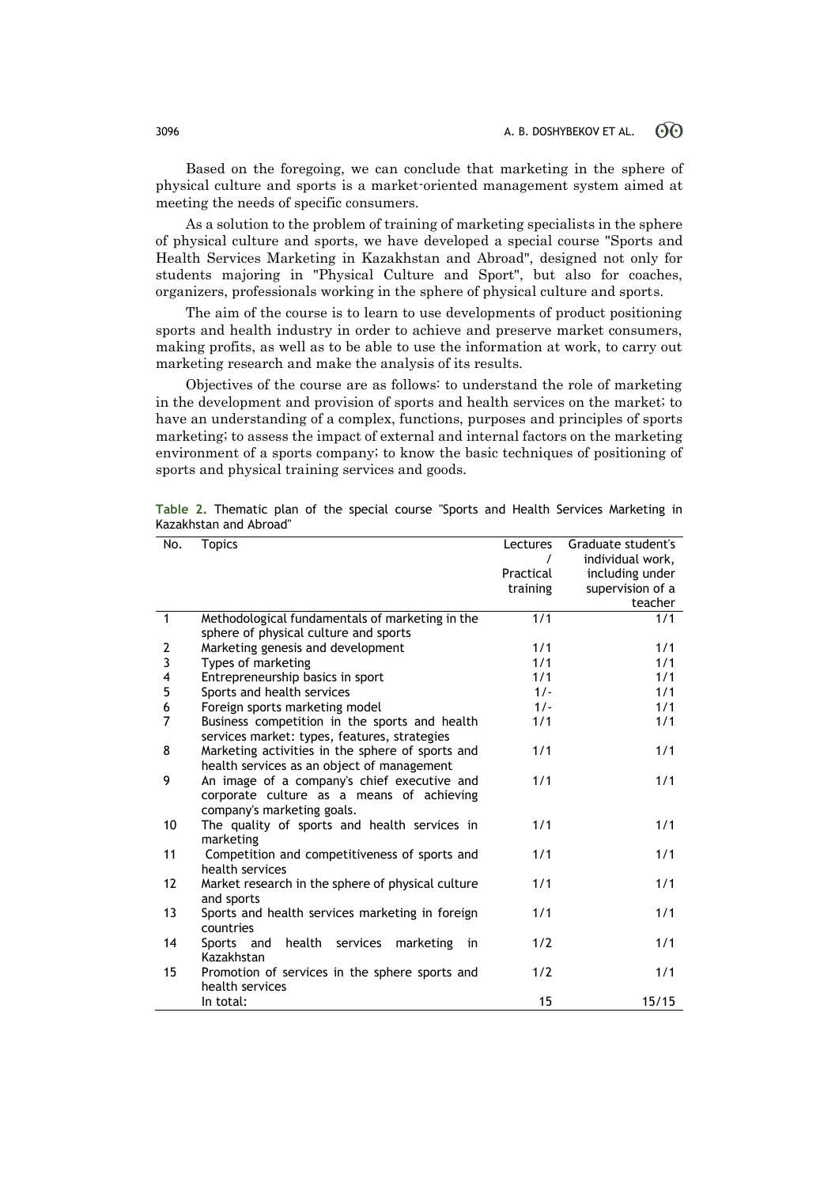Based on the foregoing, we can conclude that marketing in the sphere of physical culture and sports is a market-oriented management system aimed at meeting the needs of specific consumers.

As a solution to the problem of training of marketing specialists in the sphere of physical culture and sports, we have developed a special course "Sports and Health Services Marketing in Kazakhstan and Abroad", designed not only for students majoring in "Physical Culture and Sport", but also for coaches, organizers, professionals working in the sphere of physical culture and sports.

The aim of the course is to learn to use developments of product positioning sports and health industry in order to achieve and preserve market consumers, making profits, as well as to be able to use the information at work, to carry out marketing research and make the analysis of its results.

Objectives of the course are as follows: to understand the role of marketing in the development and provision of sports and health services on the market; to have an understanding of a complex, functions, purposes and principles of sports marketing; to assess the impact of external and internal factors on the marketing environment of a sports company; to know the basic techniques of positioning of sports and physical training services and goods.

| No.          | <b>Topics</b>                                     | Lectures  | Graduate student's |
|--------------|---------------------------------------------------|-----------|--------------------|
|              |                                                   |           | individual work,   |
|              |                                                   | Practical | including under    |
|              |                                                   | training  | supervision of a   |
|              |                                                   |           | teacher            |
| $\mathbf{1}$ | Methodological fundamentals of marketing in the   | 1/1       | 1/1                |
|              | sphere of physical culture and sports             |           |                    |
| 2            | Marketing genesis and development                 | 1/1       | 1/1                |
| 3            | Types of marketing                                | 1/1       | 1/1                |
| 4            | Entrepreneurship basics in sport                  | 1/1       | 1/1                |
| 5            | Sports and health services                        | $1/-$     | 1/1                |
| 6            | Foreign sports marketing model                    | $1/-$     | 1/1                |
| 7            | Business competition in the sports and health     | 1/1       | 1/1                |
|              | services market: types, features, strategies      |           |                    |
| 8            | Marketing activities in the sphere of sports and  | 1/1       | 1/1                |
|              | health services as an object of management        |           |                    |
| 9            | An image of a company's chief executive and       | 1/1       | 1/1                |
|              | corporate culture as a means of achieving         |           |                    |
|              | company's marketing goals.                        |           |                    |
| 10           | The quality of sports and health services in      | 1/1       | 1/1                |
|              | marketing                                         |           |                    |
| 11           | Competition and competitiveness of sports and     | 1/1       | 1/1                |
|              | health services                                   |           |                    |
| 12           | Market research in the sphere of physical culture | 1/1       | 1/1                |
|              | and sports                                        |           |                    |
| 13           | Sports and health services marketing in foreign   | 1/1       | 1/1                |
|              | countries                                         |           |                    |
| 14           | Sports and health services<br>marketing<br>in     | 1/2       | 1/1                |
|              | Kazakhstan                                        |           |                    |
| 15           | Promotion of services in the sphere sports and    | 1/2       | 1/1                |
|              | health services                                   |           |                    |
|              | In total:                                         | 15        | 15/15              |

**Table 2.** Thematic plan of the special course "Sports and Health Services Marketing in Kazakhstan and Abroad"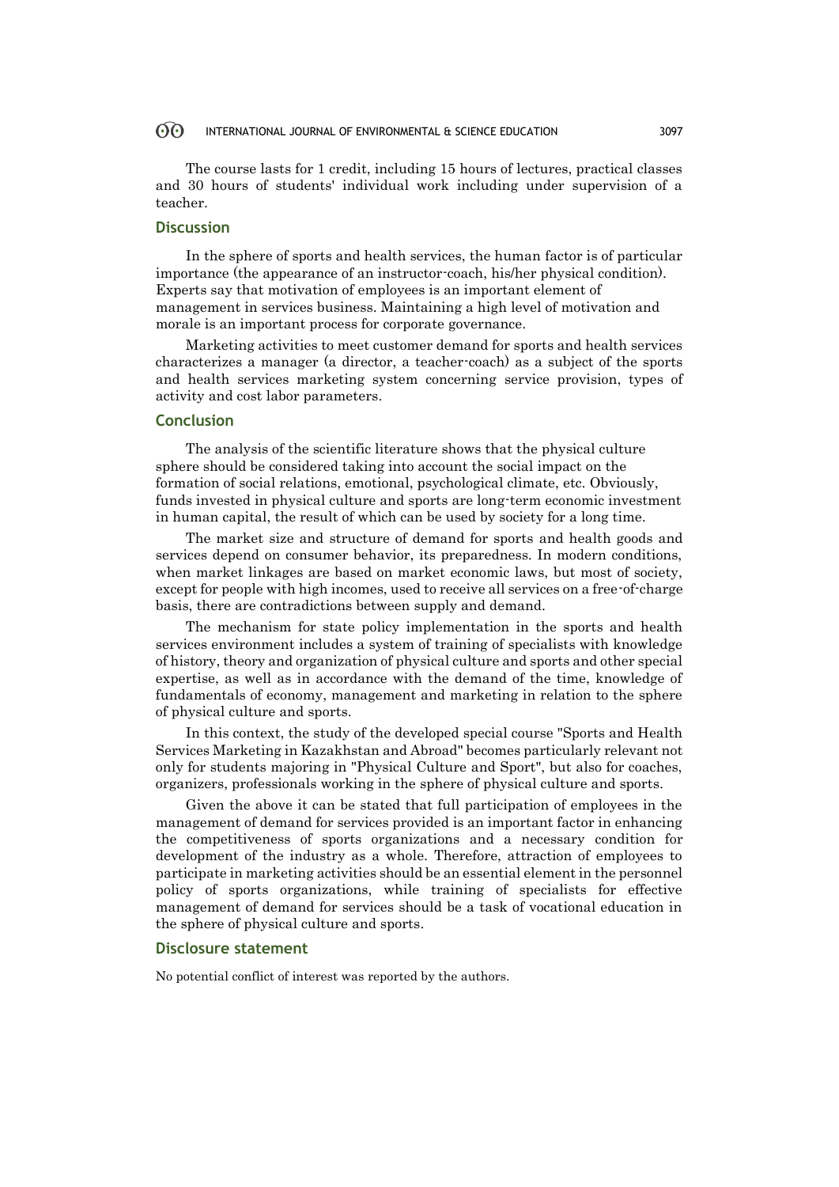#### $\odot$ INTERNATIONAL JOURNAL OF ENVIRONMENTAL & SCIENCE EDUCATION 3097

The course lasts for 1 credit, including 15 hours of lectures, practical classes and 30 hours of students' individual work including under supervision of a teacher.

## **Discussion**

In the sphere of sports and health services, the human factor is of particular importance (the appearance of an instructor-coach, his/her physical condition). Experts say that motivation of employees is an important element of management in services business. Maintaining a high level of motivation and morale is an important process for corporate governance.

Marketing activities to meet customer demand for sports and health services characterizes a manager (a director, a teacher-coach) as a subject of the sports and health services marketing system concerning service provision, types of activity and cost labor parameters.

## **Conclusion**

The analysis of the scientific literature shows that the physical culture sphere should be considered taking into account the social impact on the formation of social relations, emotional, psychological climate, etc. Obviously, funds invested in physical culture and sports are long-term economic investment in human capital, the result of which can be used by society for a long time.

The market size and structure of demand for sports and health goods and services depend on consumer behavior, its preparedness. In modern conditions, when market linkages are based on market economic laws, but most of society, except for people with high incomes, used to receive all services on a free-of-charge basis, there are contradictions between supply and demand.

The mechanism for state policy implementation in the sports and health services environment includes a system of training of specialists with knowledge of history, theory and organization of physical culture and sports and other special expertise, as well as in accordance with the demand of the time, knowledge of fundamentals of economy, management and marketing in relation to the sphere of physical culture and sports.

In this context, the study of the developed special course "Sports and Health Services Marketing in Kazakhstan and Abroad" becomes particularly relevant not only for students majoring in "Physical Culture and Sport", but also for coaches, organizers, professionals working in the sphere of physical culture and sports.

Given the above it can be stated that full participation of employees in the management of demand for services provided is an important factor in enhancing the competitiveness of sports organizations and a necessary condition for development of the industry as a whole. Therefore, attraction of employees to participate in marketing activities should be an essential element in the personnel policy of sports organizations, while training of specialists for effective management of demand for services should be a task of vocational education in the sphere of physical culture and sports.

### **Disclosure statement**

No potential conflict of interest was reported by the authors.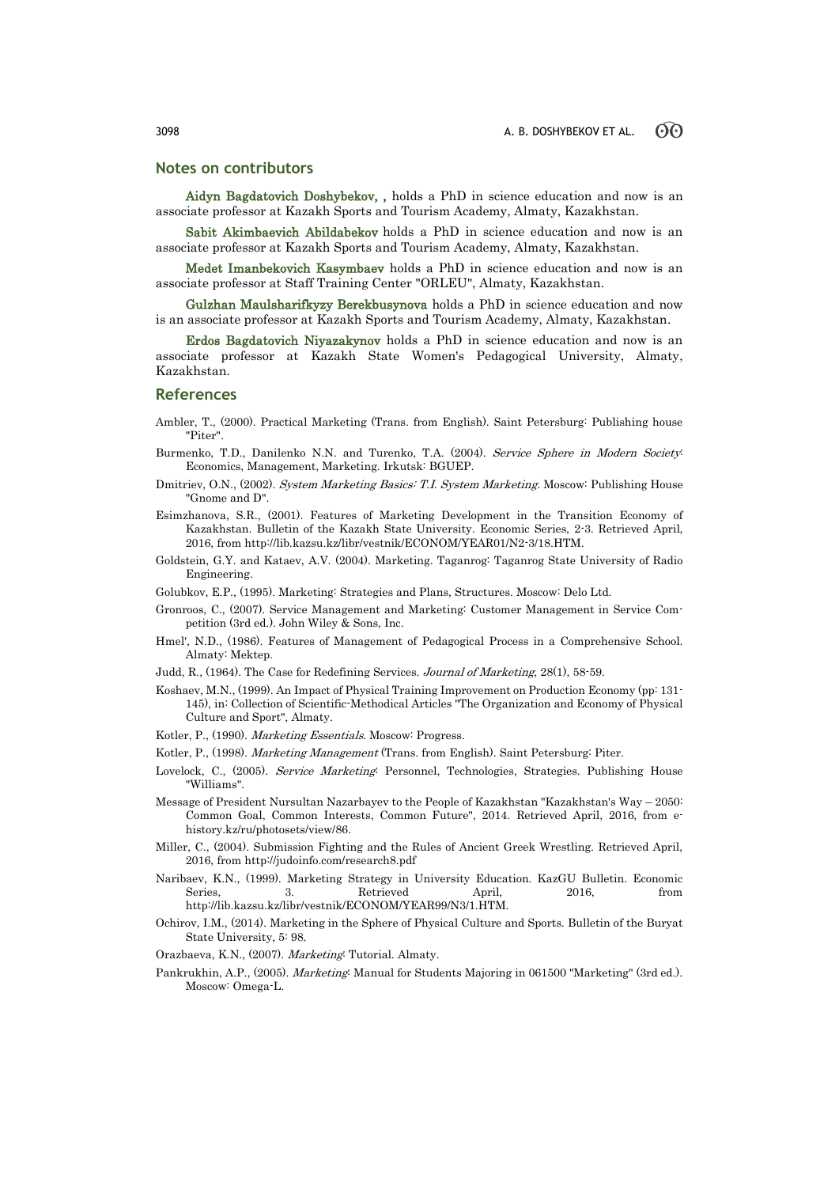### **Notes on contributors**

Aidyn Bagdatovich Doshybekov, , holds a PhD in science education and now is an associate professor at Kazakh Sports and Tourism Academy, Almaty, Kazakhstan.

Sabit Akimbaevich Abildabekov holds a PhD in science education and now is an associate professor at Kazakh Sports and Tourism Academy, Almaty, Kazakhstan.

Medet Imanbekovich Kasymbaev holds a PhD in science education and now is an associate professor at Staff Training Center "ORLEU", Almaty, Kazakhstan.

Gulzhan Maulsharifkyzy Berekbusynova holds a PhD in science education and now is an associate professor at Kazakh Sports and Tourism Academy, Almaty, Kazakhstan.

Erdos Bagdatovich Niyazakynov holds a PhD in science education and now is an associate professor at Kazakh State Women's Pedagogical University, Almaty, Kazakhstan.

### **References**

- Ambler, T., (2000). Practical Marketing (Trans. from English). Saint Petersburg: Publishing house "Piter".
- Burmenko, T.D., Danilenko N.N. and Turenko, T.A. (2004). Service Sphere in Modern Society: Economics, Management, Marketing. Irkutsk: BGUEP.
- Dmitriev, O.N., (2002). System Marketing Basics: T.I. System Marketing. Moscow: Publishing House "Gnome and D".
- Esimzhanova, S.R., (2001). Features of Marketing Development in the Transition Economy of Kazakhstan. Bulletin of the Kazakh State University. Economic Series, 2-3. Retrieved April, 2016, from http://lib.kazsu.kz/libr/vestnik/ECONOM/YEAR01/N2-3/18.HTM.
- Goldstein, G.Y. and Kataev, A.V. (2004). Marketing. Taganrog: Taganrog State University of Radio Engineering.
- Golubkov, E.P., (1995). Marketing: Strategies and Plans, Structures. Moscow: Delo Ltd.
- Gronroos, C., (2007). Service Management and Marketing: Customer Management in Service Competition (3rd ed.). John Wiley & Sons, Inc.
- Hmel', N.D., (1986). Features of Management of Pedagogical Process in a Comprehensive School. Almaty: Mektep.
- Judd, R., (1964). The Case for Redefining Services. Journal of Marketing, 28(1), 58-59.
- Koshaev, M.N., (1999). An Impact of Physical Training Improvement on Production Economy (pp: 131- 145), in: Collection of Scientific-Methodical Articles "The Organization and Economy of Physical Culture and Sport", Almaty.
- Kotler, P., (1990). Marketing Essentials. Moscow: Progress.
- Kotler, P., (1998). Marketing Management (Trans. from English). Saint Petersburg: Piter.
- Lovelock, C., (2005). Service Marketing: Personnel, Technologies, Strategies. Publishing House "Williams".
- Message of President Nursultan Nazarbayev to the People of Kazakhstan "Kazakhstan's Way 2050: Common Goal, Common Interests, Common Future", 2014. Retrieved April, 2016, from ehistory.kz/ru/photosets/view/86.
- Miller, C., (2004). Submission Fighting and the Rules of Ancient Greek Wrestling. Retrieved April, 2016, from http://judoinfo.com/research8.pdf
- Naribaev, K.N., (1999). Marketing Strategy in University Education. KazGU Bulletin. Economic Series, 3. Retrieved April, 2016, from http://lib.kazsu.kz/libr/vestnik/ECONOM/YEAR99/N3/1.HTM.
- Ochirov, I.M., (2014). Marketing in the Sphere of Physical Culture and Sports. Bulletin of the Buryat State University, 5: 98.
- Orazbaeva, K.N., (2007). Marketing: Tutorial. Almaty.
- Pankrukhin, A.P., (2005). Marketing: Manual for Students Majoring in 061500 "Marketing" (3rd ed.). Moscow: Omega-L.